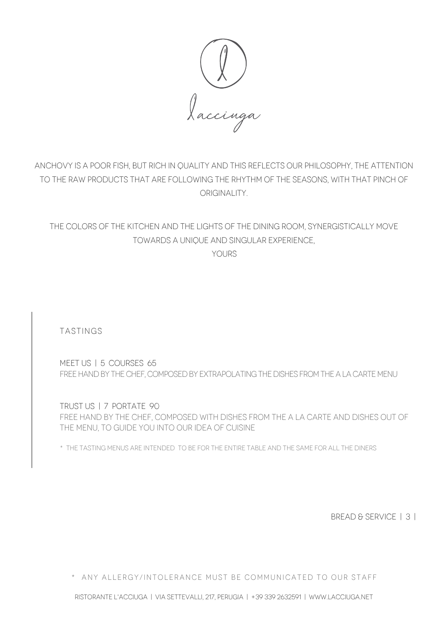

ANCHOVY IS A POOR FISH, BUT RICH IN QUALITY AND THIS REFLECTS OUR PHILOSOPHY, THE ATTENTION TO THE RAW PRODUCTS THAT ARE FOLLOWING THE RHYTHM OF THE SEASONS, WITH THAT PINCH OF ORIGINALITY.

THE COLORS OF THE KITCHEN AND THE LIGHTS OF THE DINING ROOM, SYNERGISTICALLY MOVE TOWARDS A UNIQUE AND SINGULAR EXPERIENCE,

YOURS.

TASTINGS

MEET US | 5 COURSES 65 FREE HAND BY THE CHEF, COMPOSED BY EXTRAPOLATING THE DISHES FROM THE A LA CARTE MENU

TRUST US | 7 PORTATE 90 FREE HAND BY THE CHEF, COMPOSED WITH DISHES FROM THE A LA CARTE AND DISHES OUT OF THE MENU, TO GUIDE YOU INTO OUR IDEA OF CUISINE

\* THE TASTING MENUS ARE INTENDED TO BE FOR THE ENTIRE TABLE AND THE SAME FOR ALL THE DINERS

BREAD & SERVICE | 3 |

\* any allergy/intolerance must be communicated to our staff

ristorante l'acciuga | via settevalli, 217, perugia | +39 339 2632591 | [www.lacciuga.net](http://www.lacciuga.net)